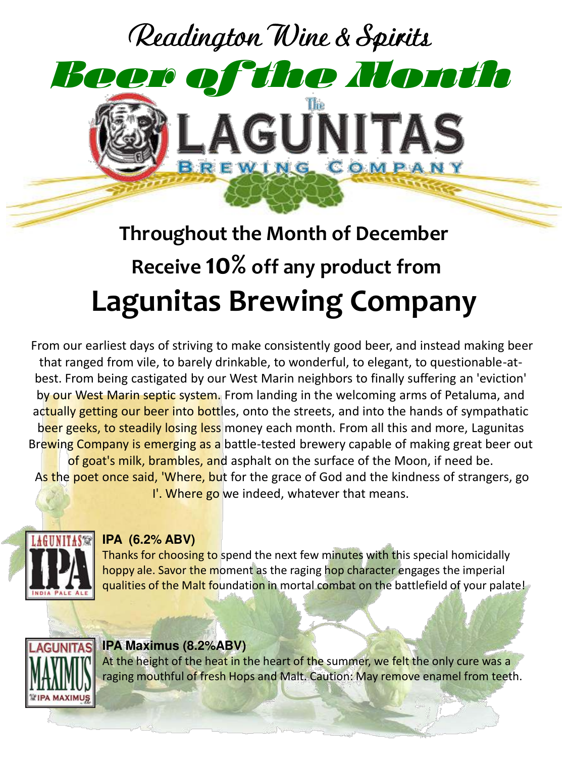

# **Throughout the Month of December Receive 10% off any product from Lagunitas Brewing Company**

From our earliest days of striving to make consistently good beer, and instead making beer that ranged from vile, to barely drinkable, to wonderful, to elegant, to questionable-atbest. From being castigated by our West Marin neighbors to finally suffering an 'eviction' by our West Marin septic system. From landing in the welcoming arms of Petaluma, and actually getting our beer into bottles, onto the streets, and into the hands of sympathatic beer geeks, to steadily losing less money each month. From all this and more, Lagunitas Brewing Company is emerging as a battle-tested brewery capable of making great beer out of goat's milk, brambles, and asphalt on the surface of the Moon, if need be. As the poet once said, 'Where, but for the grace of God and the kindness of strangers, go I'. Where go we indeed, whatever that means.



# **IPA (6.2% ABV)**

Thanks for choosing to spend the next few minutes with this special homicidally hoppy ale. Savor the moment as the raging hop character engages the imperial qualities of the Malt foundation in mortal combat on the battlefield of your palate!

![](_page_0_Picture_6.jpeg)

# **AGUNITAS IPA Maximus (8.2%ABV)**

At the height of the heat in the heart of the summer, we felt the only cure was a raging mouthful of fresh Hops and Malt. Caution: May remove enamel from teeth.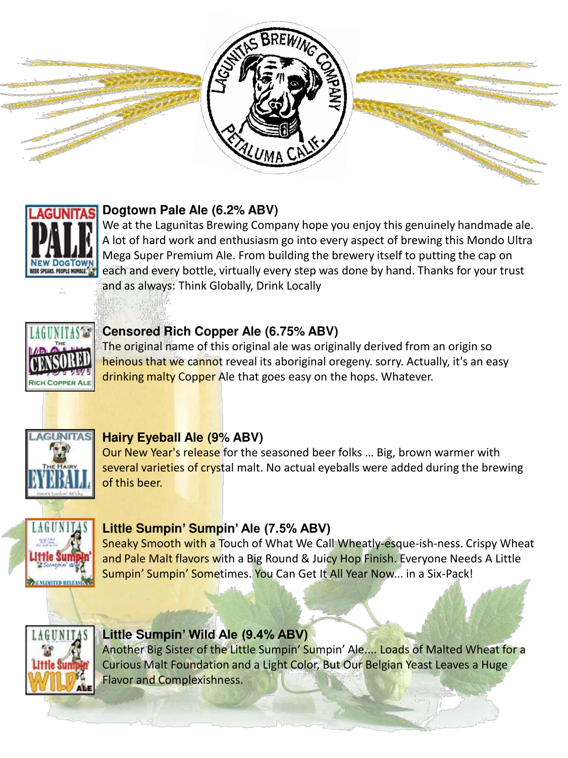![](_page_1_Picture_0.jpeg)

#### **Dogtown Pale Ale (6.2% ABV) UNITAS**

We at the Lagunitas Brewing Company hope you enjoy this genuinely handmade ale. A lot of hard work and enthusiasm go into every aspect of brewing this Mondo Ultra Mega Super Premium Ale. From building the brewery itself to putting the cap on each and every bottle, virtually every step was done by hand. Thanks for your trust and as always: Think Globally, Drink Locally

![](_page_1_Picture_3.jpeg)

# **Censored Rich Copper Ale (6.75% ABV)**

The original name of this original ale was originally derived from an origin so heinous that we cannot reveal its aboriginal oregeny. sorry. Actually, it's an easy drinking malty Copper Ale that goes easy on the hops. Whatever.

![](_page_1_Picture_6.jpeg)

#### **Hairy Eyeball Ale (9% ABV)**

Our New Year's release for the seasoned beer folks … Big, brown warmer with several varieties of crystal malt. No actual eyeballs were added during the brewing of this beer.

![](_page_1_Picture_9.jpeg)

#### **Little Sumpin' Sumpin' Ale (7.5% ABV)**

Sneaky Smooth with a Touch of What We Call Wheatly-esque-ish-ness. Crispy Wheat and Pale Malt flavors with a Big Round & Juicy Hop Finish. Everyone Needs A Little Sumpin' Sumpin' Sometimes. You Can Get It All Year Now... in a Six-Pack!

![](_page_1_Picture_12.jpeg)

#### **Little Sumpin' Wild Ale (9.4% ABV)**

Another Big Sister of the Little Sumpin' Sumpin' Ale.... Loads of Malted Wheat for a Curious Malt Foundation and a Light Color, But Our Belgian Yeast Leaves a Huge Flavor and Complexishness.